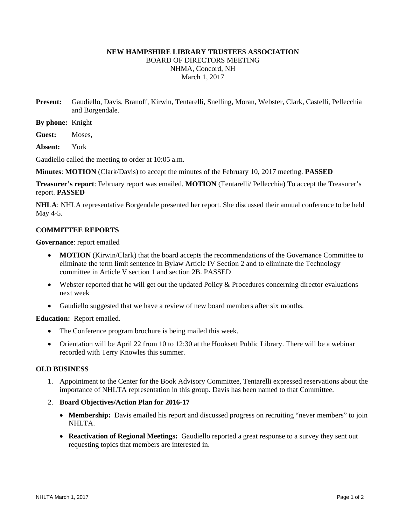# **NEW HAMPSHIRE LIBRARY TRUSTEES ASSOCIATION**  BOARD OF DIRECTORS MEETING NHMA, Concord, NH March 1, 2017

- **Present:** Gaudiello, Davis, Branoff, Kirwin, Tentarelli, Snelling, Moran, Webster, Clark, Castelli, Pellecchia and Borgendale.
- **By phone:** Knight
- **Guest:** Moses,
- **Absent:** York

Gaudiello called the meeting to order at 10:05 a.m.

**Minutes**: **MOTION** (Clark/Davis) to accept the minutes of the February 10, 2017 meeting. **PASSED**

**Treasurer's report**: February report was emailed. **MOTION** (Tentarelli/ Pellecchia) To accept the Treasurer's report. **PASSED**

**NHLA**: NHLA representative Borgendale presented her report. She discussed their annual conference to be held May 4-5.

### **COMMITTEE REPORTS**

**Governance**: report emailed

- **MOTION** (Kirwin/Clark) that the board accepts the recommendations of the Governance Committee to eliminate the term limit sentence in Bylaw Article IV Section 2 and to eliminate the Technology committee in Article V section 1 and section 2B. PASSED
- Webster reported that he will get out the updated Policy & Procedures concerning director evaluations next week
- Gaudiello suggested that we have a review of new board members after six months.

**Education:** Report emailed.

- The Conference program brochure is being mailed this week.
- Orientation will be April 22 from 10 to 12:30 at the Hooksett Public Library. There will be a webinar recorded with Terry Knowles this summer.

#### **OLD BUSINESS**

- 1. Appointment to the Center for the Book Advisory Committee, Tentarelli expressed reservations about the importance of NHLTA representation in this group. Davis has been named to that Committee.
- 2. **Board Objectives/Action Plan for 2016-17**
	- Membership: Davis emailed his report and discussed progress on recruiting "never members" to join NHLTA.
	- **Reactivation of Regional Meetings:** Gaudiello reported a great response to a survey they sent out requesting topics that members are interested in.